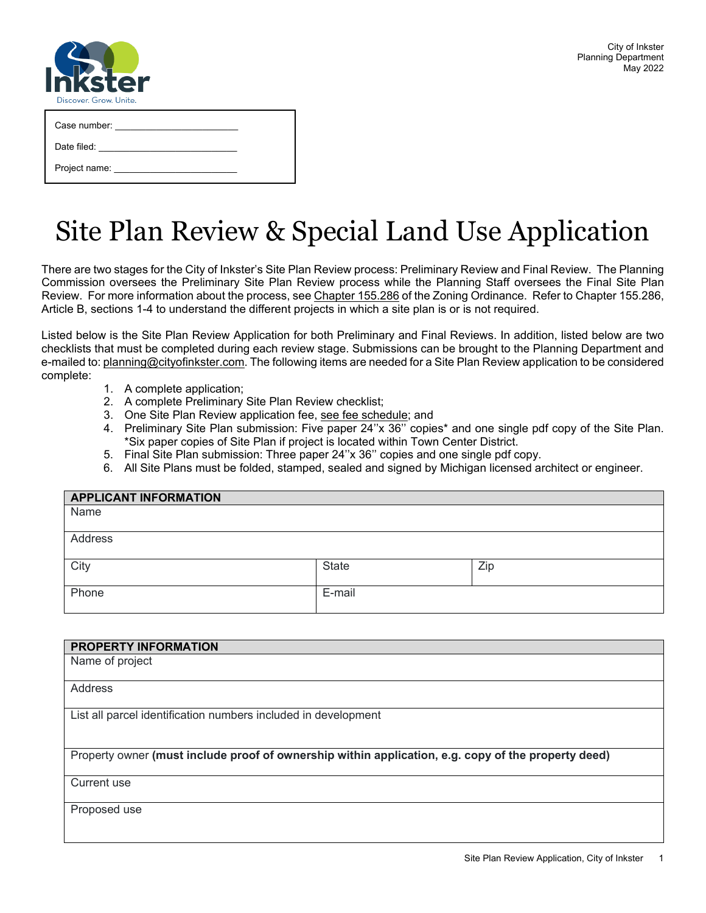| M                      |
|------------------------|
| Discover. Grow. Unite. |

| Case number: |  |
|--------------|--|
|              |  |

Date filed:

Project name:

# Site Plan Review & Special Land Use Application

There are two stages for the City of Inkster's Site Plan Review process: Preliminary Review and Final Review. The Planning Commission oversees the Preliminary Site Plan Review process while the Planning Staff oversees the Final Site Plan Review. For more information about the process, see Chapter [155.286](https://codelibrary.amlegal.com/codes/inkster/latest/inkster_mi/0-0-0-21277#JD_155.286) of the Zoning Ordinance. Refer to Chapter 155.286, Article B, sections 1-4 to understand the different projects in which a site plan is or is not required.

Listed below is the Site Plan Review Application for both Preliminary and Final Reviews. In addition, listed below are two checklists that must be completed during each review stage. Submissions can be brought to the Planning Department and e-mailed to[: planning@cityofinkster.com.](mailto:planning@cityofinkster.com) The following items are needed for a Site Plan Review application to be considered complete:

- 1. A complete application;
- 2. A complete Preliminary Site Plan Review checklist;
- 3. One Site Plan Review application fee, see fee [schedule;](https://www.cityofinkster.com/DocumentCenter/View/3285/FY2022-Master-Fee-Schedule-Draft-42821?bidId=) and
- 4. Preliminary Site Plan submission: Five paper 24''x 36'' copies\* and one single pdf copy of the Site Plan. \*Six paper copies of Site Plan if project is located within Town Center District.
- 5. Final Site Plan submission: Three paper 24''x 36'' copies and one single pdf copy.
- 6. All Site Plans must be folded, stamped, sealed and signed by Michigan licensed architect or engineer.

| <b>APPLICANT INFORMATION</b> |        |     |  |
|------------------------------|--------|-----|--|
| Name                         |        |     |  |
| Address                      |        |     |  |
| City                         | State  | Zip |  |
|                              |        |     |  |
| Phone                        | E-mail |     |  |

| <b>PROPERTY INFORMATION</b>                                                                         |
|-----------------------------------------------------------------------------------------------------|
| Name of project                                                                                     |
| Address                                                                                             |
| List all parcel identification numbers included in development                                      |
| Property owner (must include proof of ownership within application, e.g. copy of the property deed) |
| Current use                                                                                         |
| Proposed use                                                                                        |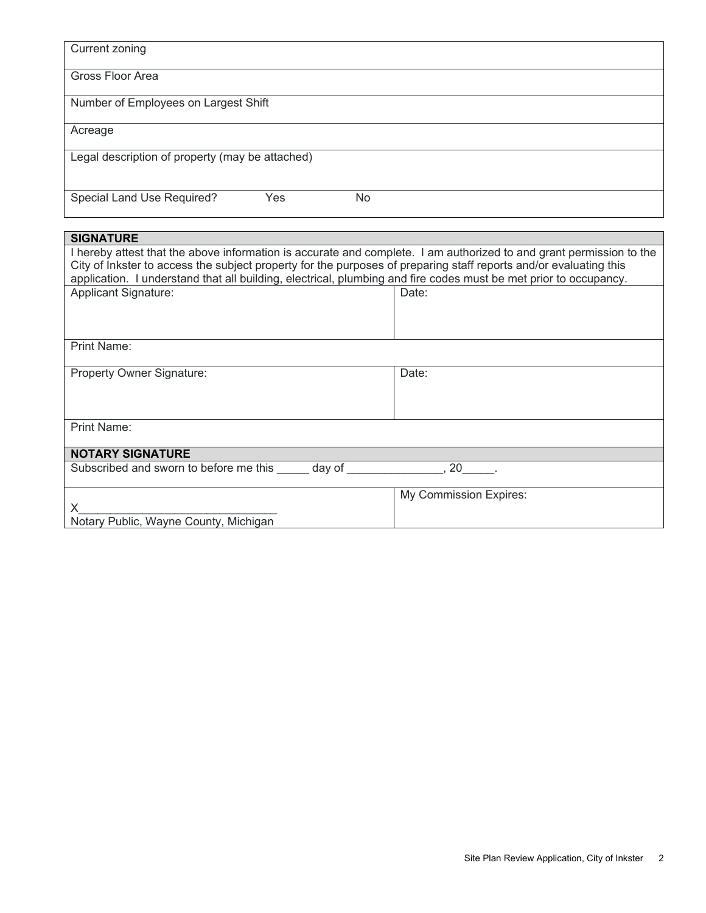| <b>Current zoning</b>                                                                                                                                                                                                                                                                                                                                        |                        |
|--------------------------------------------------------------------------------------------------------------------------------------------------------------------------------------------------------------------------------------------------------------------------------------------------------------------------------------------------------------|------------------------|
| Gross Floor Area                                                                                                                                                                                                                                                                                                                                             |                        |
| Number of Employees on Largest Shift                                                                                                                                                                                                                                                                                                                         |                        |
| Acreage                                                                                                                                                                                                                                                                                                                                                      |                        |
| Legal description of property (may be attached)                                                                                                                                                                                                                                                                                                              |                        |
| Special Land Use Required?<br>Yes<br><b>No</b>                                                                                                                                                                                                                                                                                                               |                        |
| <b>SIGNATURE</b>                                                                                                                                                                                                                                                                                                                                             |                        |
| I hereby attest that the above information is accurate and complete. I am authorized to and grant permission to the<br>City of Inkster to access the subject property for the purposes of preparing staff reports and/or evaluating this<br>application. I understand that all building, electrical, plumbing and fire codes must be met prior to occupancy. |                        |
| <b>Applicant Signature:</b>                                                                                                                                                                                                                                                                                                                                  | Date:                  |
| Print Name:                                                                                                                                                                                                                                                                                                                                                  |                        |
| Property Owner Signature:                                                                                                                                                                                                                                                                                                                                    | Date:                  |
| Print Name:                                                                                                                                                                                                                                                                                                                                                  |                        |
| <b>NOTARY SIGNATURE</b>                                                                                                                                                                                                                                                                                                                                      |                        |
| Subscribed and sworn to before me this day of 30 and 30 cm set of the state of the state of the state of the state of the state of the state of the state of the state of the state of the state of the state of the state of                                                                                                                                |                        |
| X                                                                                                                                                                                                                                                                                                                                                            | My Commission Expires: |
|                                                                                                                                                                                                                                                                                                                                                              |                        |

Notary Public, Wayne County, Michigan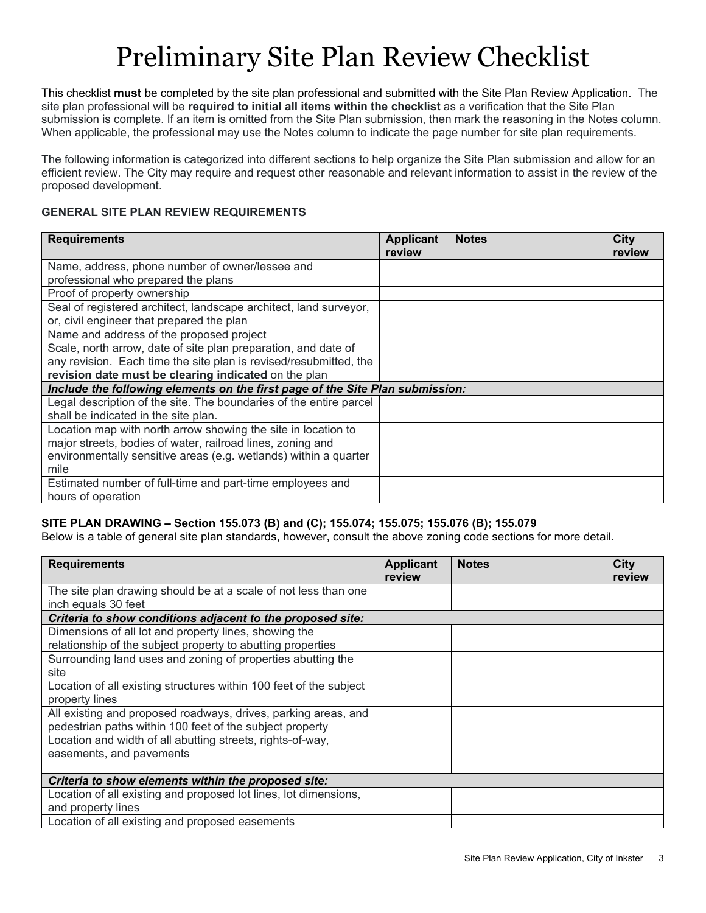# Preliminary Site Plan Review Checklist

This checklist **must** be completed by the site plan professional and submitted with the Site Plan Review Application. The site plan professional will be **required to initial all items within the checklist** as a verification that the Site Plan submission is complete. If an item is omitted from the Site Plan submission, then mark the reasoning in the Notes column. When applicable, the professional may use the Notes column to indicate the page number for site plan requirements.

The following information is categorized into different sections to help organize the Site Plan submission and allow for an efficient review. The City may require and request other reasonable and relevant information to assist in the review of the proposed development.

### **GENERAL SITE PLAN REVIEW REQUIREMENTS**

| <b>Requirements</b>                                                           | <b>Applicant</b><br>review | <b>Notes</b> | City<br>review |
|-------------------------------------------------------------------------------|----------------------------|--------------|----------------|
| Name, address, phone number of owner/lessee and                               |                            |              |                |
| professional who prepared the plans                                           |                            |              |                |
| Proof of property ownership                                                   |                            |              |                |
| Seal of registered architect, landscape architect, land surveyor,             |                            |              |                |
| or, civil engineer that prepared the plan                                     |                            |              |                |
| Name and address of the proposed project                                      |                            |              |                |
| Scale, north arrow, date of site plan preparation, and date of                |                            |              |                |
| any revision. Each time the site plan is revised/resubmitted, the             |                            |              |                |
| revision date must be clearing indicated on the plan                          |                            |              |                |
| Include the following elements on the first page of the Site Plan submission: |                            |              |                |
| Legal description of the site. The boundaries of the entire parcel            |                            |              |                |
| shall be indicated in the site plan.                                          |                            |              |                |
| Location map with north arrow showing the site in location to                 |                            |              |                |
| major streets, bodies of water, railroad lines, zoning and                    |                            |              |                |
| environmentally sensitive areas (e.g. wetlands) within a quarter              |                            |              |                |
| mile                                                                          |                            |              |                |
| Estimated number of full-time and part-time employees and                     |                            |              |                |
| hours of operation                                                            |                            |              |                |

### **SITE PLAN DRAWING – Section 155.073 (B) and (C); 155.074; 155.075; 155.076 (B); 155.079**

Below is a table of general site plan standards, however, consult the above zoning code sections for more detail.

| <b>Requirements</b>                                                | <b>Applicant</b><br>review | <b>Notes</b> | <b>City</b><br>review |
|--------------------------------------------------------------------|----------------------------|--------------|-----------------------|
| The site plan drawing should be at a scale of not less than one    |                            |              |                       |
| inch equals 30 feet                                                |                            |              |                       |
| Criteria to show conditions adjacent to the proposed site:         |                            |              |                       |
| Dimensions of all lot and property lines, showing the              |                            |              |                       |
| relationship of the subject property to abutting properties        |                            |              |                       |
| Surrounding land uses and zoning of properties abutting the        |                            |              |                       |
| site                                                               |                            |              |                       |
| Location of all existing structures within 100 feet of the subject |                            |              |                       |
| property lines                                                     |                            |              |                       |
| All existing and proposed roadways, drives, parking areas, and     |                            |              |                       |
| pedestrian paths within 100 feet of the subject property           |                            |              |                       |
| Location and width of all abutting streets, rights-of-way,         |                            |              |                       |
| easements, and pavements                                           |                            |              |                       |
|                                                                    |                            |              |                       |
| Criteria to show elements within the proposed site:                |                            |              |                       |
| Location of all existing and proposed lot lines, lot dimensions,   |                            |              |                       |
| and property lines                                                 |                            |              |                       |
| Location of all existing and proposed easements                    |                            |              |                       |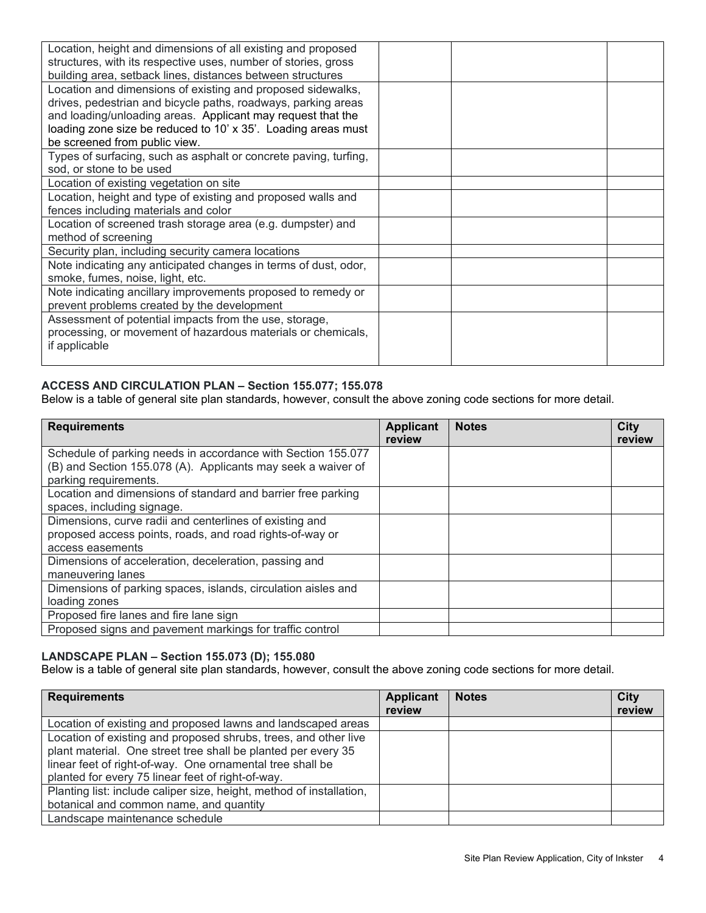| Location, height and dimensions of all existing and proposed     |  |
|------------------------------------------------------------------|--|
| structures, with its respective uses, number of stories, gross   |  |
| building area, setback lines, distances between structures       |  |
| Location and dimensions of existing and proposed sidewalks,      |  |
| drives, pedestrian and bicycle paths, roadways, parking areas    |  |
| and loading/unloading areas. Applicant may request that the      |  |
| loading zone size be reduced to 10' x 35'. Loading areas must    |  |
| be screened from public view.                                    |  |
| Types of surfacing, such as asphalt or concrete paving, turfing, |  |
| sod, or stone to be used                                         |  |
| Location of existing vegetation on site                          |  |
| Location, height and type of existing and proposed walls and     |  |
| fences including materials and color                             |  |
| Location of screened trash storage area (e.g. dumpster) and      |  |
| method of screening                                              |  |
| Security plan, including security camera locations               |  |
| Note indicating any anticipated changes in terms of dust, odor,  |  |
| smoke, fumes, noise, light, etc.                                 |  |
| Note indicating ancillary improvements proposed to remedy or     |  |
| prevent problems created by the development                      |  |
| Assessment of potential impacts from the use, storage,           |  |
| processing, or movement of hazardous materials or chemicals,     |  |
| if applicable                                                    |  |
|                                                                  |  |

### **ACCESS AND CIRCULATION PLAN – Section 155.077; 155.078**

Below is a table of general site plan standards, however, consult the above zoning code sections for more detail.

| <b>Requirements</b>                                           | <b>Applicant</b><br>review | <b>Notes</b> | City<br>review |
|---------------------------------------------------------------|----------------------------|--------------|----------------|
| Schedule of parking needs in accordance with Section 155.077  |                            |              |                |
| (B) and Section 155.078 (A). Applicants may seek a waiver of  |                            |              |                |
| parking requirements.                                         |                            |              |                |
| Location and dimensions of standard and barrier free parking  |                            |              |                |
| spaces, including signage.                                    |                            |              |                |
| Dimensions, curve radii and centerlines of existing and       |                            |              |                |
| proposed access points, roads, and road rights-of-way or      |                            |              |                |
| access easements                                              |                            |              |                |
| Dimensions of acceleration, deceleration, passing and         |                            |              |                |
| maneuvering lanes                                             |                            |              |                |
| Dimensions of parking spaces, islands, circulation aisles and |                            |              |                |
| loading zones                                                 |                            |              |                |
| Proposed fire lanes and fire lane sign                        |                            |              |                |
| Proposed signs and pavement markings for traffic control      |                            |              |                |

### **LANDSCAPE PLAN – Section 155.073 (D); 155.080**

Below is a table of general site plan standards, however, consult the above zoning code sections for more detail.

| <b>Requirements</b>                                                                                                                                                                                                                                | <b>Applicant</b><br>review | <b>Notes</b> | City<br>review |
|----------------------------------------------------------------------------------------------------------------------------------------------------------------------------------------------------------------------------------------------------|----------------------------|--------------|----------------|
| Location of existing and proposed lawns and landscaped areas                                                                                                                                                                                       |                            |              |                |
| Location of existing and proposed shrubs, trees, and other live<br>plant material. One street tree shall be planted per every 35<br>linear feet of right-of-way. One ornamental tree shall be<br>planted for every 75 linear feet of right-of-way. |                            |              |                |
| Planting list: include caliper size, height, method of installation,<br>botanical and common name, and quantity                                                                                                                                    |                            |              |                |
| Landscape maintenance schedule                                                                                                                                                                                                                     |                            |              |                |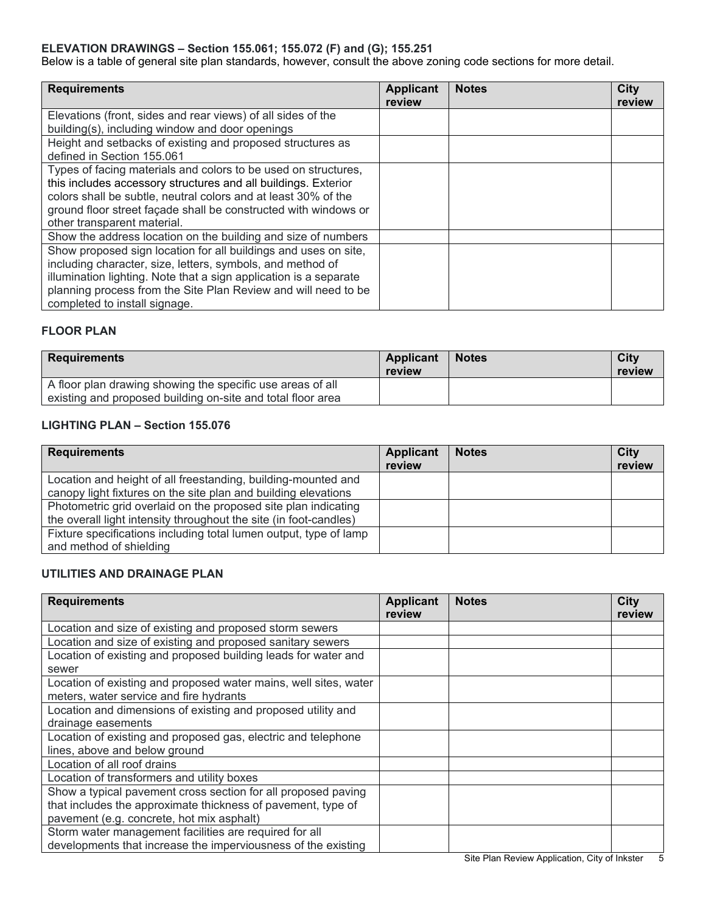### **ELEVATION DRAWINGS – Section 155.061; 155.072 (F) and (G); 155.251**

Below is a table of general site plan standards, however, consult the above zoning code sections for more detail.

| <b>Requirements</b>                                               | <b>Applicant</b> | <b>Notes</b> | <b>City</b> |
|-------------------------------------------------------------------|------------------|--------------|-------------|
|                                                                   | review           |              | review      |
| Elevations (front, sides and rear views) of all sides of the      |                  |              |             |
| building(s), including window and door openings                   |                  |              |             |
| Height and setbacks of existing and proposed structures as        |                  |              |             |
| defined in Section 155,061                                        |                  |              |             |
| Types of facing materials and colors to be used on structures,    |                  |              |             |
| this includes accessory structures and all buildings. Exterior    |                  |              |             |
| colors shall be subtle, neutral colors and at least 30% of the    |                  |              |             |
| ground floor street façade shall be constructed with windows or   |                  |              |             |
| other transparent material.                                       |                  |              |             |
| Show the address location on the building and size of numbers     |                  |              |             |
| Show proposed sign location for all buildings and uses on site,   |                  |              |             |
| including character, size, letters, symbols, and method of        |                  |              |             |
| illumination lighting. Note that a sign application is a separate |                  |              |             |
| planning process from the Site Plan Review and will need to be    |                  |              |             |
| completed to install signage.                                     |                  |              |             |

### **FLOOR PLAN**

| <b>Requirements</b>                                         | Applicant<br>review | <b>Notes</b> | <b>City</b><br>review |
|-------------------------------------------------------------|---------------------|--------------|-----------------------|
| A floor plan drawing showing the specific use areas of all  |                     |              |                       |
| existing and proposed building on-site and total floor area |                     |              |                       |

### **LIGHTING PLAN – Section 155.076**

| review | City<br>review |
|--------|----------------|
|        |                |
|        |                |
|        |                |
|        |                |
|        |                |

## **UTILITIES AND DRAINAGE PLAN**

| <b>Requirements</b>                                              | <b>Applicant</b><br>review | <b>Notes</b> | <b>City</b><br>review |
|------------------------------------------------------------------|----------------------------|--------------|-----------------------|
| Location and size of existing and proposed storm sewers          |                            |              |                       |
| Location and size of existing and proposed sanitary sewers       |                            |              |                       |
| Location of existing and proposed building leads for water and   |                            |              |                       |
| sewer                                                            |                            |              |                       |
| Location of existing and proposed water mains, well sites, water |                            |              |                       |
| meters, water service and fire hydrants                          |                            |              |                       |
| Location and dimensions of existing and proposed utility and     |                            |              |                       |
| drainage easements                                               |                            |              |                       |
| Location of existing and proposed gas, electric and telephone    |                            |              |                       |
| lines, above and below ground                                    |                            |              |                       |
| Location of all roof drains                                      |                            |              |                       |
| Location of transformers and utility boxes                       |                            |              |                       |
| Show a typical pavement cross section for all proposed paving    |                            |              |                       |
| that includes the approximate thickness of pavement, type of     |                            |              |                       |
| pavement (e.g. concrete, hot mix asphalt)                        |                            |              |                       |
| Storm water management facilities are required for all           |                            |              |                       |
| developments that increase the imperviousness of the existing    |                            |              |                       |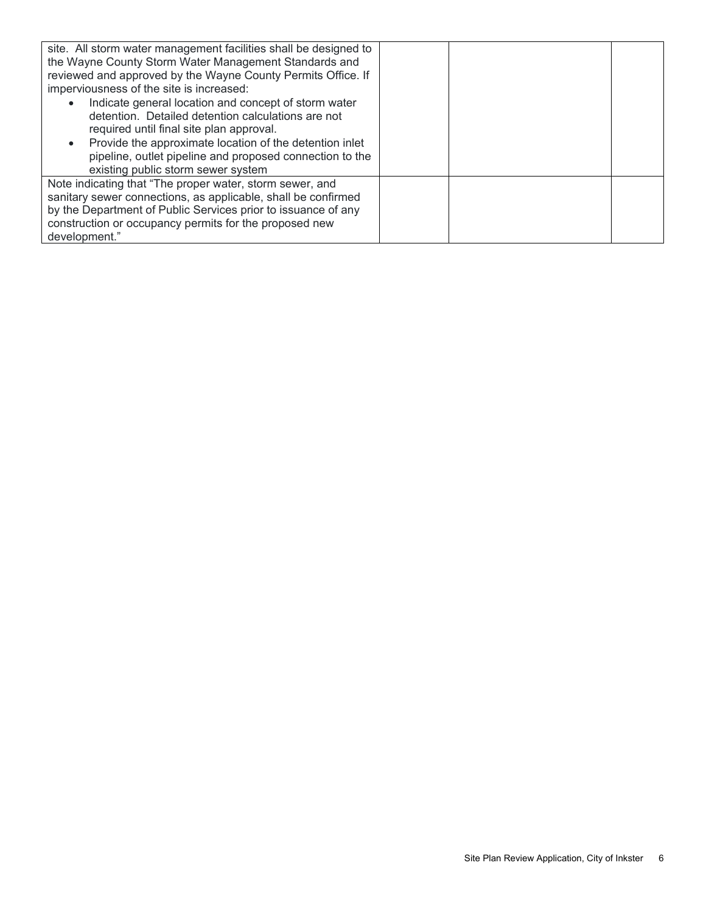| site. All storm water management facilities shall be designed to<br>the Wayne County Storm Water Management Standards and<br>reviewed and approved by the Wayne County Permits Office. If<br>imperviousness of the site is increased:<br>Indicate general location and concept of storm water<br>$\bullet$<br>detention. Detailed detention calculations are not<br>required until final site plan approval.<br>Provide the approximate location of the detention inlet<br>$\bullet$<br>pipeline, outlet pipeline and proposed connection to the<br>existing public storm sewer system |  |  |
|----------------------------------------------------------------------------------------------------------------------------------------------------------------------------------------------------------------------------------------------------------------------------------------------------------------------------------------------------------------------------------------------------------------------------------------------------------------------------------------------------------------------------------------------------------------------------------------|--|--|
| Note indicating that "The proper water, storm sewer, and<br>sanitary sewer connections, as applicable, shall be confirmed<br>by the Department of Public Services prior to issuance of any<br>construction or occupancy permits for the proposed new<br>development."                                                                                                                                                                                                                                                                                                                  |  |  |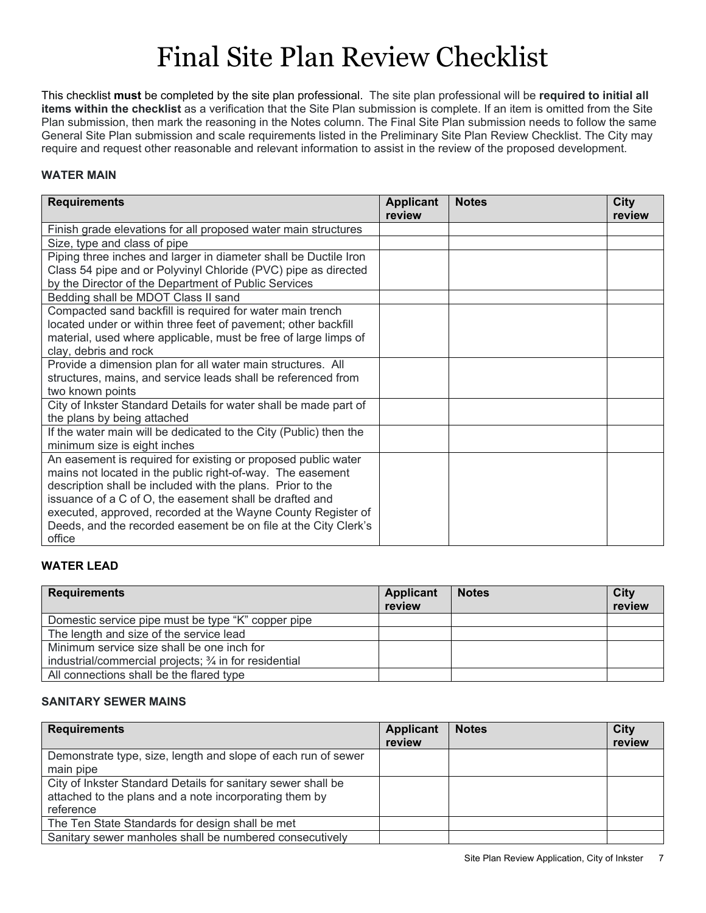# Final Site Plan Review Checklist

This checklist **must** be completed by the site plan professional. The site plan professional will be **required to initial all items within the checklist** as a verification that the Site Plan submission is complete. If an item is omitted from the Site Plan submission, then mark the reasoning in the Notes column. The Final Site Plan submission needs to follow the same General Site Plan submission and scale requirements listed in the Preliminary Site Plan Review Checklist. The City may require and request other reasonable and relevant information to assist in the review of the proposed development.

### **WATER MAIN**

| <b>Requirements</b>                                                                             | <b>Applicant</b><br>review | <b>Notes</b> | City<br>review |
|-------------------------------------------------------------------------------------------------|----------------------------|--------------|----------------|
| Finish grade elevations for all proposed water main structures                                  |                            |              |                |
| Size, type and class of pipe                                                                    |                            |              |                |
| Piping three inches and larger in diameter shall be Ductile Iron                                |                            |              |                |
| Class 54 pipe and or Polyvinyl Chloride (PVC) pipe as directed                                  |                            |              |                |
| by the Director of the Department of Public Services                                            |                            |              |                |
| Bedding shall be MDOT Class II sand                                                             |                            |              |                |
| Compacted sand backfill is required for water main trench                                       |                            |              |                |
| located under or within three feet of pavement; other backfill                                  |                            |              |                |
| material, used where applicable, must be free of large limps of                                 |                            |              |                |
| clay, debris and rock                                                                           |                            |              |                |
| Provide a dimension plan for all water main structures. All                                     |                            |              |                |
| structures, mains, and service leads shall be referenced from                                   |                            |              |                |
| two known points                                                                                |                            |              |                |
| City of Inkster Standard Details for water shall be made part of<br>the plans by being attached |                            |              |                |
| If the water main will be dedicated to the City (Public) then the                               |                            |              |                |
| minimum size is eight inches                                                                    |                            |              |                |
| An easement is required for existing or proposed public water                                   |                            |              |                |
| mains not located in the public right-of-way. The easement                                      |                            |              |                |
| description shall be included with the plans. Prior to the                                      |                            |              |                |
| issuance of a C of O, the easement shall be drafted and                                         |                            |              |                |
| executed, approved, recorded at the Wayne County Register of                                    |                            |              |                |
| Deeds, and the recorded easement be on file at the City Clerk's                                 |                            |              |                |
| office                                                                                          |                            |              |                |

## **WATER LEAD**

| <b>Requirements</b>                                    | <b>Applicant</b><br>review | <b>Notes</b> | City<br>review |
|--------------------------------------------------------|----------------------------|--------------|----------------|
| Domestic service pipe must be type "K" copper pipe     |                            |              |                |
| The length and size of the service lead                |                            |              |                |
| Minimum service size shall be one inch for             |                            |              |                |
| industrial/commercial projects; 3/4 in for residential |                            |              |                |
| All connections shall be the flared type               |                            |              |                |

### **SANITARY SEWER MAINS**

| <b>Requirements</b>                                           | Applicant<br>review | <b>Notes</b> | City<br>review |
|---------------------------------------------------------------|---------------------|--------------|----------------|
| Demonstrate type, size, length and slope of each run of sewer |                     |              |                |
| main pipe                                                     |                     |              |                |
| City of Inkster Standard Details for sanitary sewer shall be  |                     |              |                |
| attached to the plans and a note incorporating them by        |                     |              |                |
| reference                                                     |                     |              |                |
| The Ten State Standards for design shall be met               |                     |              |                |
| Sanitary sewer manholes shall be numbered consecutively       |                     |              |                |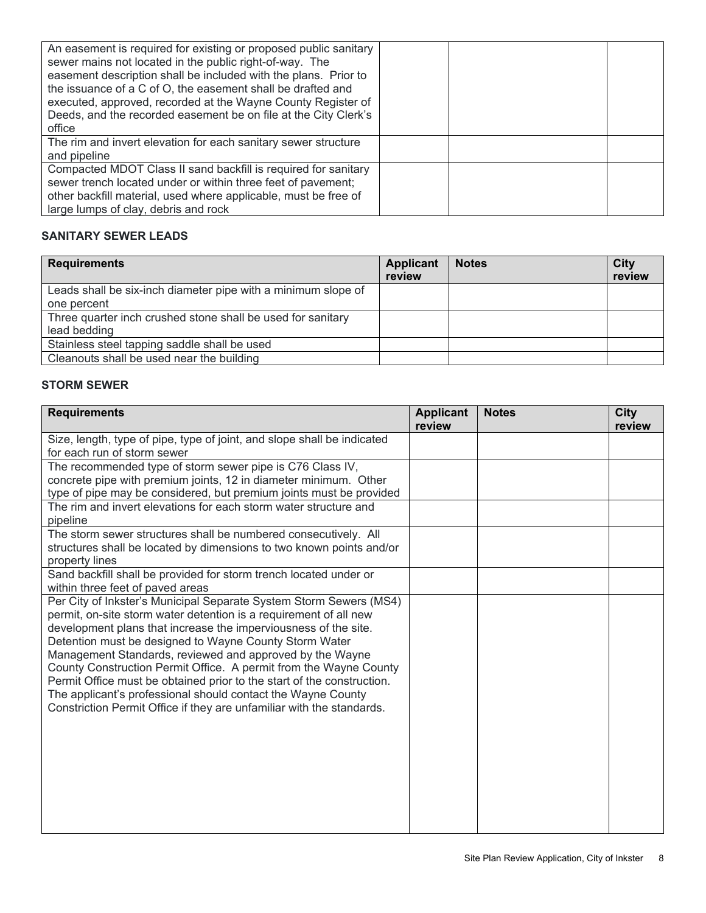| An easement is required for existing or proposed public sanitary<br>sewer mains not located in the public right-of-way. The<br>easement description shall be included with the plans. Prior to<br>the issuance of a C of O, the easement shall be drafted and<br>executed, approved, recorded at the Wayne County Register of<br>Deeds, and the recorded easement be on file at the City Clerk's<br>office |  |
|------------------------------------------------------------------------------------------------------------------------------------------------------------------------------------------------------------------------------------------------------------------------------------------------------------------------------------------------------------------------------------------------------------|--|
| The rim and invert elevation for each sanitary sewer structure<br>and pipeline                                                                                                                                                                                                                                                                                                                             |  |
| Compacted MDOT Class II sand backfill is required for sanitary<br>sewer trench located under or within three feet of pavement;<br>other backfill material, used where applicable, must be free of<br>large lumps of clay, debris and rock                                                                                                                                                                  |  |

## **SANITARY SEWER LEADS**

| <b>Requirements</b>                                           | <b>Applicant</b><br>review | <b>Notes</b> | <b>City</b><br>review |
|---------------------------------------------------------------|----------------------------|--------------|-----------------------|
| Leads shall be six-inch diameter pipe with a minimum slope of |                            |              |                       |
| one percent                                                   |                            |              |                       |
| Three quarter inch crushed stone shall be used for sanitary   |                            |              |                       |
| lead bedding                                                  |                            |              |                       |
| Stainless steel tapping saddle shall be used                  |                            |              |                       |
| Cleanouts shall be used near the building                     |                            |              |                       |

## **STORM SEWER**

| <b>Requirements</b>                                                                                                                                                                                                                                                                                                                                                                                                                                                                                                                                                                                                      | <b>Applicant</b><br>review | <b>Notes</b> | <b>City</b><br>review |
|--------------------------------------------------------------------------------------------------------------------------------------------------------------------------------------------------------------------------------------------------------------------------------------------------------------------------------------------------------------------------------------------------------------------------------------------------------------------------------------------------------------------------------------------------------------------------------------------------------------------------|----------------------------|--------------|-----------------------|
| Size, length, type of pipe, type of joint, and slope shall be indicated<br>for each run of storm sewer                                                                                                                                                                                                                                                                                                                                                                                                                                                                                                                   |                            |              |                       |
| The recommended type of storm sewer pipe is C76 Class IV,<br>concrete pipe with premium joints, 12 in diameter minimum. Other<br>type of pipe may be considered, but premium joints must be provided<br>The rim and invert elevations for each storm water structure and                                                                                                                                                                                                                                                                                                                                                 |                            |              |                       |
| pipeline                                                                                                                                                                                                                                                                                                                                                                                                                                                                                                                                                                                                                 |                            |              |                       |
| The storm sewer structures shall be numbered consecutively. All<br>structures shall be located by dimensions to two known points and/or<br>property lines                                                                                                                                                                                                                                                                                                                                                                                                                                                                |                            |              |                       |
| Sand backfill shall be provided for storm trench located under or<br>within three feet of paved areas                                                                                                                                                                                                                                                                                                                                                                                                                                                                                                                    |                            |              |                       |
| Per City of Inkster's Municipal Separate System Storm Sewers (MS4)<br>permit, on-site storm water detention is a requirement of all new<br>development plans that increase the imperviousness of the site.<br>Detention must be designed to Wayne County Storm Water<br>Management Standards, reviewed and approved by the Wayne<br>County Construction Permit Office. A permit from the Wayne County<br>Permit Office must be obtained prior to the start of the construction.<br>The applicant's professional should contact the Wayne County<br>Constriction Permit Office if they are unfamiliar with the standards. |                            |              |                       |
|                                                                                                                                                                                                                                                                                                                                                                                                                                                                                                                                                                                                                          |                            |              |                       |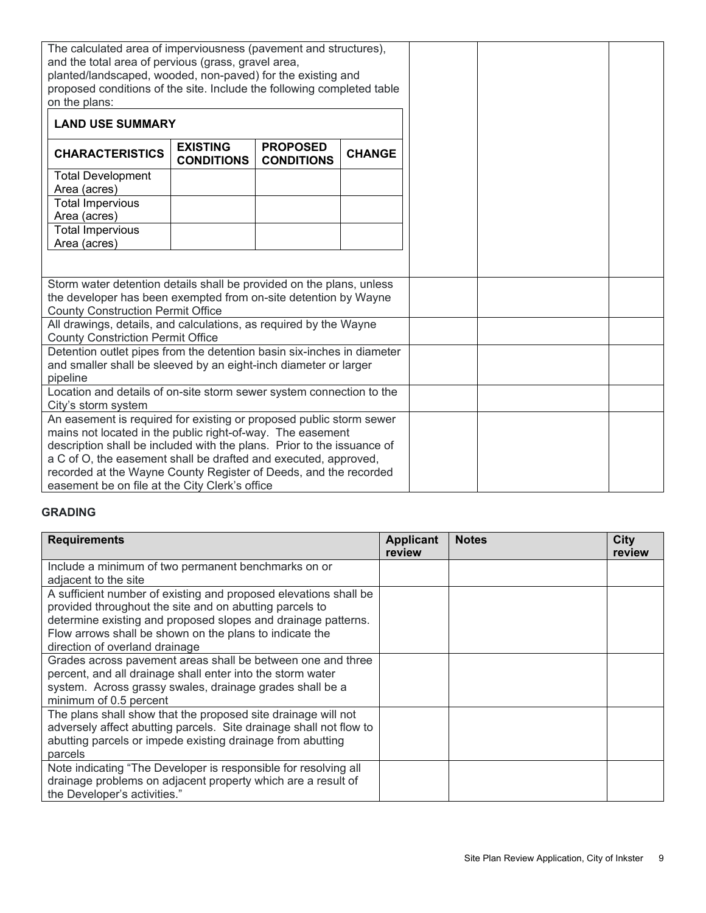| on the plans:                                                                                                                                                                       |  | The calculated area of imperviousness (pavement and structures),<br>and the total area of pervious (grass, gravel area,<br>planted/landscaped, wooded, non-paved) for the existing and<br>proposed conditions of the site. Include the following completed table |                                      |               |
|-------------------------------------------------------------------------------------------------------------------------------------------------------------------------------------|--|------------------------------------------------------------------------------------------------------------------------------------------------------------------------------------------------------------------------------------------------------------------|--------------------------------------|---------------|
| <b>LAND USE SUMMARY</b>                                                                                                                                                             |  |                                                                                                                                                                                                                                                                  |                                      |               |
| <b>CHARACTERISTICS</b>                                                                                                                                                              |  | <b>EXISTING</b><br><b>CONDITIONS</b>                                                                                                                                                                                                                             | <b>PROPOSED</b><br><b>CONDITIONS</b> | <b>CHANGE</b> |
| <b>Total Development</b>                                                                                                                                                            |  |                                                                                                                                                                                                                                                                  |                                      |               |
| Area (acres)<br><b>Total Impervious</b><br>Area (acres)                                                                                                                             |  |                                                                                                                                                                                                                                                                  |                                      |               |
| <b>Total Impervious</b><br>Area (acres)                                                                                                                                             |  |                                                                                                                                                                                                                                                                  |                                      |               |
|                                                                                                                                                                                     |  |                                                                                                                                                                                                                                                                  |                                      |               |
| Storm water detention details shall be provided on the plans, unless<br>the developer has been exempted from on-site detention by Wayne<br><b>County Construction Permit Office</b> |  |                                                                                                                                                                                                                                                                  |                                      |               |
| <b>County Constriction Permit Office</b>                                                                                                                                            |  | All drawings, details, and calculations, as required by the Wayne                                                                                                                                                                                                |                                      |               |
| Detention outlet pipes from the detention basin six-inches in diameter<br>and smaller shall be sleeved by an eight-inch diameter or larger<br>pipeline                              |  |                                                                                                                                                                                                                                                                  |                                      |               |
| Location and details of on-site storm sewer system connection to the<br>City's storm system                                                                                         |  |                                                                                                                                                                                                                                                                  |                                      |               |
| An easement is required for existing or proposed public storm sewer<br>mains not located in the public right-of-way. The easement                                                   |  |                                                                                                                                                                                                                                                                  |                                      |               |
|                                                                                                                                                                                     |  | description shall be included with the plans. Prior to the issuance of                                                                                                                                                                                           |                                      |               |
|                                                                                                                                                                                     |  | a C of O, the easement shall be drafted and executed, approved,                                                                                                                                                                                                  |                                      |               |
|                                                                                                                                                                                     |  | recorded at the Wayne County Register of Deeds, and the recorded<br>easement be on file at the City Clerk's office                                                                                                                                               |                                      |               |

### **GRADING**

| <b>Requirements</b>                                                | <b>Applicant</b><br>review | <b>Notes</b> | City<br>review |
|--------------------------------------------------------------------|----------------------------|--------------|----------------|
| Include a minimum of two permanent benchmarks on or                |                            |              |                |
| adiacent to the site                                               |                            |              |                |
| A sufficient number of existing and proposed elevations shall be   |                            |              |                |
| provided throughout the site and on abutting parcels to            |                            |              |                |
| determine existing and proposed slopes and drainage patterns.      |                            |              |                |
| Flow arrows shall be shown on the plans to indicate the            |                            |              |                |
| direction of overland drainage                                     |                            |              |                |
| Grades across pavement areas shall be between one and three        |                            |              |                |
| percent, and all drainage shall enter into the storm water         |                            |              |                |
| system. Across grassy swales, drainage grades shall be a           |                            |              |                |
| minimum of 0.5 percent                                             |                            |              |                |
| The plans shall show that the proposed site drainage will not      |                            |              |                |
| adversely affect abutting parcels. Site drainage shall not flow to |                            |              |                |
| abutting parcels or impede existing drainage from abutting         |                            |              |                |
| parcels                                                            |                            |              |                |
| Note indicating "The Developer is responsible for resolving all    |                            |              |                |
| drainage problems on adjacent property which are a result of       |                            |              |                |
| the Developer's activities."                                       |                            |              |                |